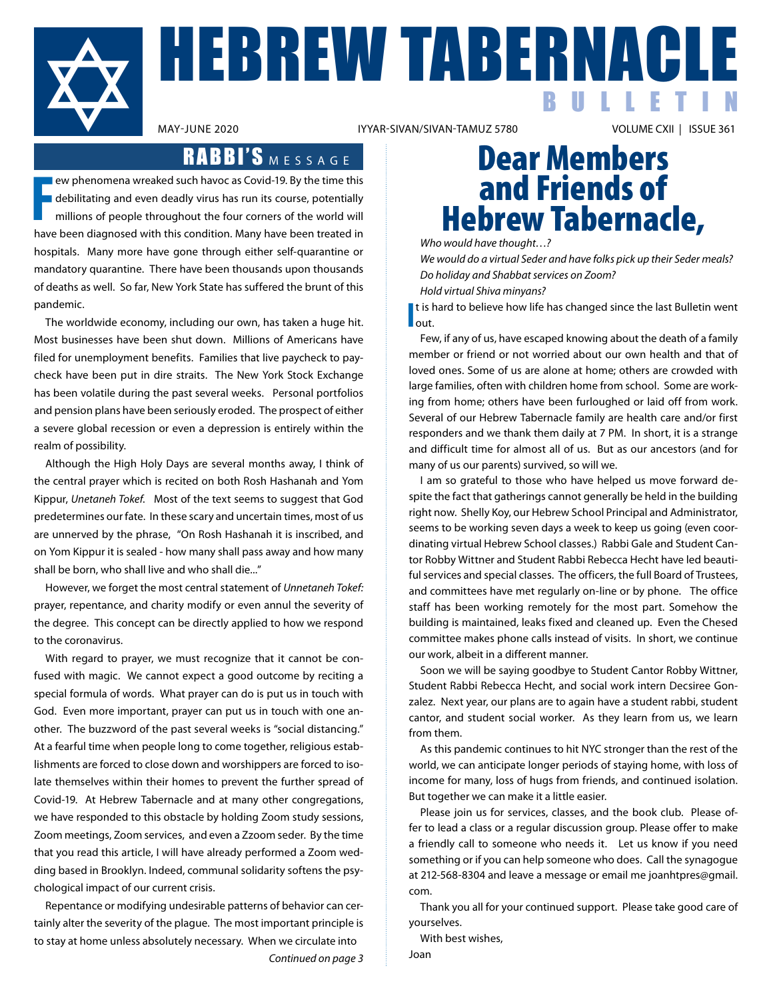

HEBREW TABERNACLE BULLETIN

IYYAR-SIVAN/SIVAN-TAMUZ 5780

## RABBI'S MESSAGE

**F** ew phenomena wreaked such havoc as Covid-19. By the time this debilitating and even deadly virus has run its course, potentially millions of people throughout the four corners of the world will have been diagnosed with this condition. Many have been treated in hospitals. Many more have gone through either self-quarantine or mandatory quarantine. There have been thousands upon thousands of deaths as well. So far, New York State has suffered the brunt of this pandemic.

The worldwide economy, including our own, has taken a huge hit. Most businesses have been shut down. Millions of Americans have filed for unemployment benefits. Families that live paycheck to paycheck have been put in dire straits. The New York Stock Exchange has been volatile during the past several weeks. Personal portfolios and pension plans have been seriously eroded. The prospect of either a severe global recession or even a depression is entirely within the realm of possibility.

 Although the High Holy Days are several months away, I think of the central prayer which is recited on both Rosh Hashanah and Yom Kippur, *Unetaneh Tokef*. Most of the text seems to suggest that God predetermines our fate. In these scary and uncertain times, most of us are unnerved by the phrase, "On Rosh Hashanah it is inscribed, and on Yom Kippur it is sealed - how many shall pass away and how many shall be born, who shall live and who shall die..."

However, we forget the most central statement of *Unnetaneh Tokef:*  prayer, repentance, and charity modify or even annul the severity of the degree. This concept can be directly applied to how we respond to the coronavirus.

With regard to prayer, we must recognize that it cannot be confused with magic. We cannot expect a good outcome by reciting a special formula of words. What prayer can do is put us in touch with God. Even more important, prayer can put us in touch with one another. The buzzword of the past several weeks is "social distancing." At a fearful time when people long to come together, religious establishments are forced to close down and worshippers are forced to isolate themselves within their homes to prevent the further spread of Covid-19. At Hebrew Tabernacle and at many other congregations, we have responded to this obstacle by holding Zoom study sessions, Zoom meetings, Zoom services, and even a Zzoom seder. By the time that you read this article, I will have already performed a Zoom wedding based in Brooklyn. Indeed, communal solidarity softens the psychological impact of our current crisis.

 Repentance or modifying undesirable patterns of behavior can certainly alter the severity of the plague. The most important principle is to stay at home unless absolutely necessary. When we circulate into *Continued on page 3*

## Dear Members and Friends of Hebrew Tabernacle,

*Who would have thought…?*

*We would do a virtual Seder and have folks pick up their Seder meals? Do holiday and Shabbat services on Zoom?*

*Hold virtual Shiva minyans?*

**I**<br> **l**<br> **l**<br> **l**<br> **out.** t is hard to believe how life has changed since the last Bulletin went

Few, if any of us, have escaped knowing about the death of a family member or friend or not worried about our own health and that of loved ones. Some of us are alone at home; others are crowded with large families, often with children home from school. Some are working from home; others have been furloughed or laid off from work. Several of our Hebrew Tabernacle family are health care and/or first responders and we thank them daily at 7 PM. In short, it is a strange and difficult time for almost all of us. But as our ancestors (and for many of us our parents) survived, so will we.

 I am so grateful to those who have helped us move forward despite the fact that gatherings cannot generally be held in the building right now. Shelly Koy, our Hebrew School Principal and Administrator, seems to be working seven days a week to keep us going (even coordinating virtual Hebrew School classes.) Rabbi Gale and Student Cantor Robby Wittner and Student Rabbi Rebecca Hecht have led beautiful services and special classes. The officers, the full Board of Trustees, and committees have met regularly on-line or by phone. The office staff has been working remotely for the most part. Somehow the building is maintained, leaks fixed and cleaned up. Even the Chesed committee makes phone calls instead of visits. In short, we continue our work, albeit in a different manner.

Soon we will be saying goodbye to Student Cantor Robby Wittner, Student Rabbi Rebecca Hecht, and social work intern Decsiree Gonzalez. Next year, our plans are to again have a student rabbi, student cantor, and student social worker. As they learn from us, we learn from them.

 As this pandemic continues to hit NYC stronger than the rest of the world, we can anticipate longer periods of staying home, with loss of income for many, loss of hugs from friends, and continued isolation. But together we can make it a little easier.

Please join us for services, classes, and the book club. Please offer to lead a class or a regular discussion group. Please offer to make a friendly call to someone who needs it. Let us know if you need something or if you can help someone who does. Call the synagogue at 212-568-8304 and leave a message or email me joanhtpres@gmail. com.

Thank you all for your continued support. Please take good care of yourselves.

With best wishes,

Joan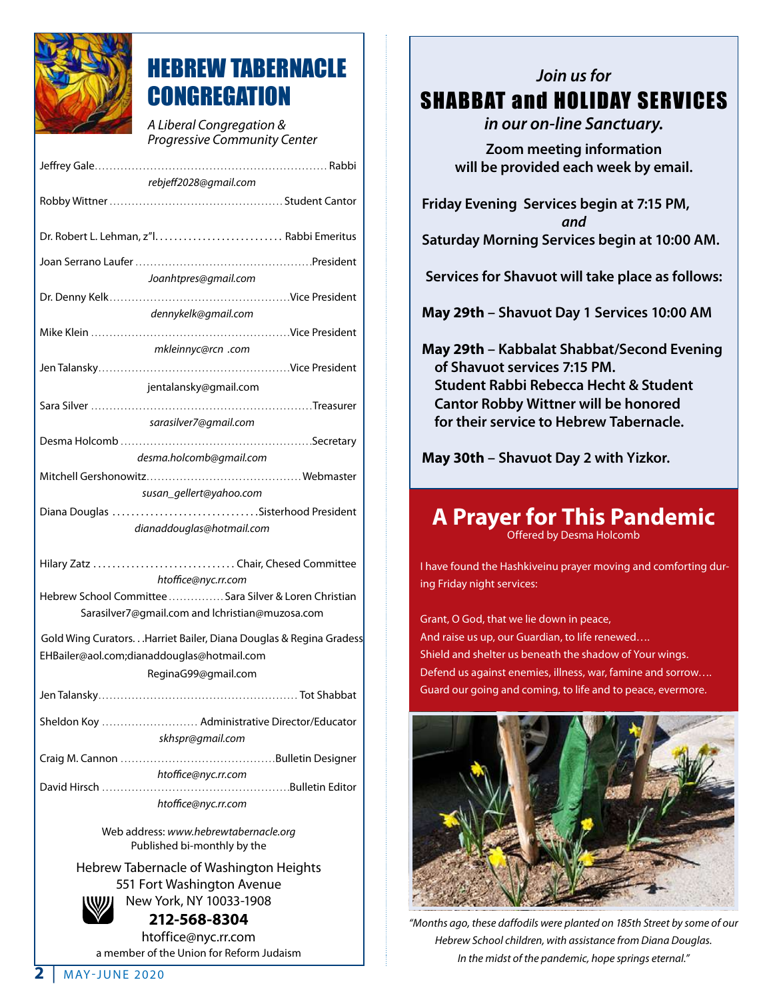

## HEBREW TABERNACLE **CONGREGATION**

*A Liberal Congregation & Progressive Community Center*

| rebjeff2028@gmail.com                                                         |
|-------------------------------------------------------------------------------|
|                                                                               |
|                                                                               |
|                                                                               |
| Joanhtpres@gmail.com                                                          |
| dennykelk@gmail.com                                                           |
|                                                                               |
| mkleinnyc@rcn .com                                                            |
|                                                                               |
| jentalansky@gmail.com                                                         |
|                                                                               |
| sarasilver7@gmail.com                                                         |
|                                                                               |
| desma.holcomb@gmail.com                                                       |
| susan_gellert@yahoo.com                                                       |
| Diana Douglas Sisterhood President                                            |
| dianaddouglas@hotmail.com                                                     |
| Hilary Zatz  Chair, Chesed Committee                                          |
| htoffice@nyc.rr.com<br>Hebrew School Committee  Sara Silver & Loren Christian |
| Sarasilver7@gmail.com and lchristian@muzosa.com                               |
| Gold Wing Curators Harriet Bailer, Diana Douglas & Regina Gradess             |
| EHBailer@aol.com;dianaddouglas@hotmail.com                                    |
| ReginaG99@gmail.com                                                           |
|                                                                               |
| Sheldon Koy  Administrative Director/Educator<br>skhspr@gmail.com             |
|                                                                               |
| htoffice@nyc.rr.com                                                           |
| htoffice@nyc.rr.com                                                           |

Web address: *www.hebrewtabernacle.org* Published bi-monthly by the

Hebrew Tabernacle of Washington Heights 551 Fort Washington Avenue New York, NY 10033-1908



### **212-568-8304**

htoffice@nyc.rr.com a member of the Union for Reform Judaism

### *Join us for* SHABBAT and HOLIDAY SERVICES

*in our on-line Sanctuary.*

**Zoom meeting information will be provided each week by email.**

**Friday Evening Services begin at 7:15 PM,**  *and* **Saturday Morning Services begin at 10:00 AM.** 

**Services for Shavuot will take place as follows:**

**May 29th – Shavuot Day 1 Services 10:00 AM**

**May 29th – Kabbalat Shabbat/Second Evening of Shavuot services 7:15 PM. Student Rabbi Rebecca Hecht & Student Cantor Robby Wittner will be honored for their service to Hebrew Tabernacle.**

**May 30th – Shavuot Day 2 with Yizkor.**

### **A Prayer for This Pandemic** Offered by Desma Holcomb

I have found the Hashkiveinu prayer moving and comforting during Friday night services:

Grant, O God, that we lie down in peace, And raise us up, our Guardian, to life renewed…. Shield and shelter us beneath the shadow of Your wings. Defend us against enemies, illness, war, famine and sorrow…. Guard our going and coming, to life and to peace, evermore.



*"Months ago, these daffodils were planted on 185th Street by some of our Hebrew School children, with assistance from Diana Douglas. In the midst of the pandemic, hope springs eternal."*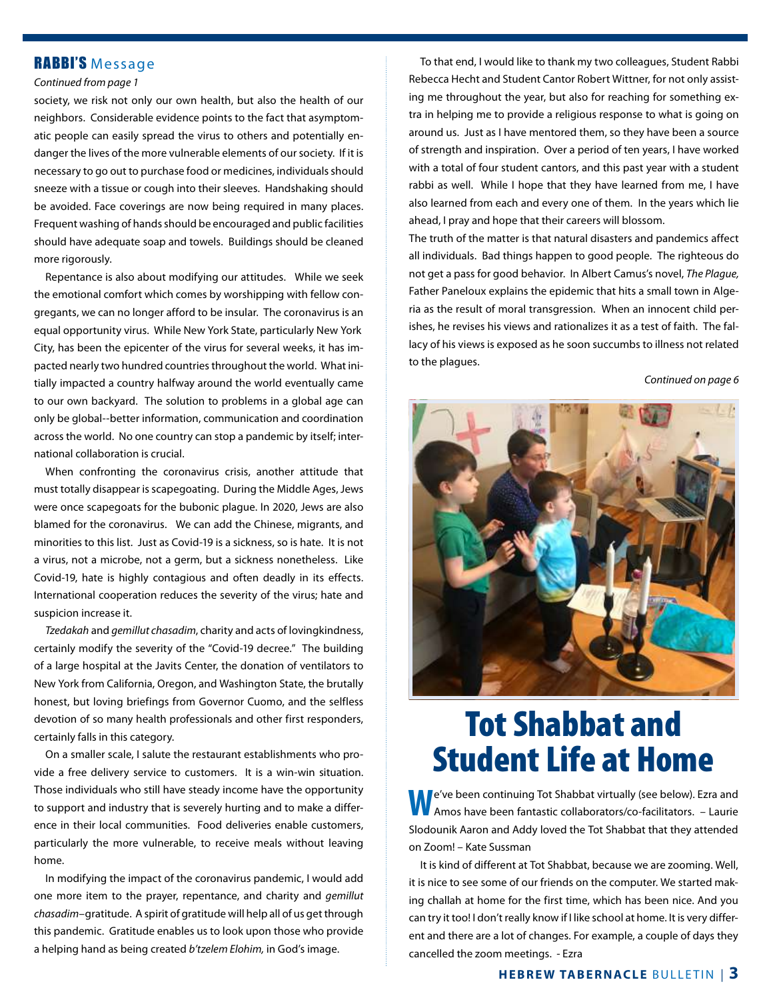### RABBI'S Message

#### *Continued from page 1*

society, we risk not only our own health, but also the health of our neighbors. Considerable evidence points to the fact that asymptomatic people can easily spread the virus to others and potentially endanger the lives of the more vulnerable elements of our society. If it is necessary to go out to purchase food or medicines, individuals should sneeze with a tissue or cough into their sleeves. Handshaking should be avoided. Face coverings are now being required in many places. Frequent washing of hands should be encouraged and public facilities should have adequate soap and towels. Buildings should be cleaned more rigorously.

 Repentance is also about modifying our attitudes. While we seek the emotional comfort which comes by worshipping with fellow congregants, we can no longer afford to be insular. The coronavirus is an equal opportunity virus. While New York State, particularly New York City, has been the epicenter of the virus for several weeks, it has impacted nearly two hundred countries throughout the world. What initially impacted a country halfway around the world eventually came to our own backyard. The solution to problems in a global age can only be global--better information, communication and coordination across the world. No one country can stop a pandemic by itself; international collaboration is crucial.

When confronting the coronavirus crisis, another attitude that must totally disappear is scapegoating. During the Middle Ages, Jews were once scapegoats for the bubonic plague. In 2020, Jews are also blamed for the coronavirus. We can add the Chinese, migrants, and minorities to this list. Just as Covid-19 is a sickness, so is hate. It is not a virus, not a microbe, not a germ, but a sickness nonetheless. Like Covid-19, hate is highly contagious and often deadly in its effects. International cooperation reduces the severity of the virus; hate and suspicion increase it.

*Tzedakah* and *gemillut chasadim*, charity and acts of lovingkindness, certainly modify the severity of the "Covid-19 decree." The building of a large hospital at the Javits Center, the donation of ventilators to New York from California, Oregon, and Washington State, the brutally honest, but loving briefings from Governor Cuomo, and the selfless devotion of so many health professionals and other first responders, certainly falls in this category.

On a smaller scale, I salute the restaurant establishments who provide a free delivery service to customers. It is a win-win situation. Those individuals who still have steady income have the opportunity to support and industry that is severely hurting and to make a difference in their local communities. Food deliveries enable customers, particularly the more vulnerable, to receive meals without leaving home.

 In modifying the impact of the coronavirus pandemic, I would add one more item to the prayer, repentance, and charity and *gemillut chasadim*–gratitude. A spirit of gratitude will help all of us get through this pandemic. Gratitude enables us to look upon those who provide a helping hand as being created *b'tzelem Elohim,* in God's image.

To that end, I would like to thank my two colleagues, Student Rabbi Rebecca Hecht and Student Cantor Robert Wittner, for not only assisting me throughout the year, but also for reaching for something extra in helping me to provide a religious response to what is going on around us. Just as I have mentored them, so they have been a source of strength and inspiration. Over a period of ten years, I have worked with a total of four student cantors, and this past year with a student rabbi as well. While I hope that they have learned from me, I have also learned from each and every one of them. In the years which lie ahead, I pray and hope that their careers will blossom.

The truth of the matter is that natural disasters and pandemics affect all individuals. Bad things happen to good people. The righteous do not get a pass for good behavior. In Albert Camus's novel, *The Plague,* Father Paneloux explains the epidemic that hits a small town in Algeria as the result of moral transgression. When an innocent child perishes, he revises his views and rationalizes it as a test of faith. The fallacy of his views is exposed as he soon succumbs to illness not related to the plagues.

*Continued on page 6*



## Tot Shabbat and Student Life at Home

**W**e've been continuing Tot Shabbat virtually (see below). Ezra and Amos have been fantastic collaborators/co-facilitators. – Laurie Slodounik Aaron and Addy loved the Tot Shabbat that they attended on Zoom! – Kate Sussman

 It is kind of different at Tot Shabbat, because we are zooming. Well, it is nice to see some of our friends on the computer. We started making challah at home for the first time, which has been nice. And you can try it too! I don't really know if I like school at home. It is very different and there are a lot of changes. For example, a couple of days they cancelled the zoom meetings. - Ezra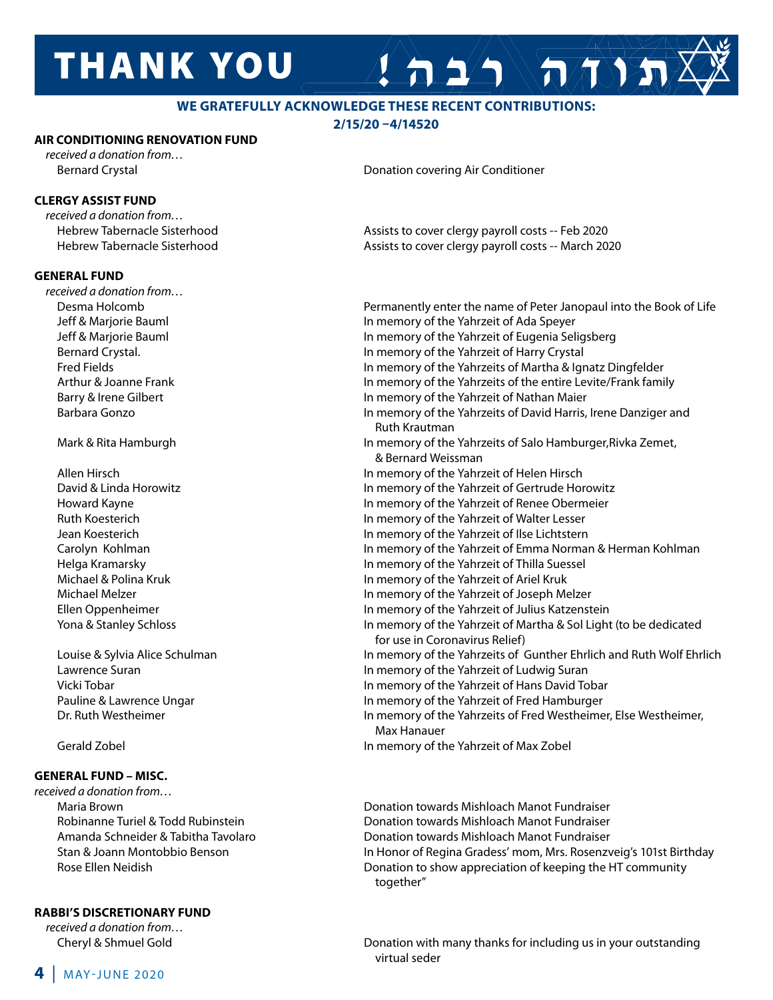## **THANK YOU**

### **WE GRATEFULLY ACKNOWLEDGE THESE RECENT CONTRIBUTIONS:**

**2/15/20 –4/14520**

### **AIR CONDITIONING RENOVATION FUND**

*received a donation from…*

### **CLERGY ASSIST FUND**

*received a donation from…*

### **GENERAL FUND**

*received a donation from…*

### **GENERAL FUND – MISC.**

*received a donation from…*

### **RABBI'S DISCRETIONARY FUND**

*received a donation from…*

Bernard Crystal Donation covering Air Conditioner

 Hebrew Tabernacle Sisterhood Assists to cover clergy payroll costs -- Feb 2020 Hebrew Tabernacle Sisterhood Assists to cover clergy payroll costs -- March 2020

A 1/1 AMY

 Desma Holcomb Permanently enter the name of Peter Janopaul into the Book of Life Jeff & Marjorie Bauml In memory of the Yahrzeit of Ada Speyer Jeff & Marjorie Bauml In memory of the Yahrzeit of Eugenia Seligsberg Bernard Crystal. In memory of the Yahrzeit of Harry Crystal Fred Fields In memory of the Yahrzeits of Martha & Ignatz Dingfelder Arthur & Joanne Frank In memory of the Yahrzeits of the entire Levite/Frank family Barry & Irene Gilbert **In the Value of Tabret** In memory of the Yahrzeit of Nathan Maier Barbara Gonzo In memory of the Yahrzeits of David Harris, Irene Danziger and Ruth Krautman Mark & Rita Hamburgh **In memory of the Yahrzeits of Salo Hamburger,Rivka Zemet**, & Bernard Weissman Allen Hirsch In memory of the Yahrzeit of Helen Hirsch David & Linda Horowitz In memory of the Yahrzeit of Gertrude Horowitz Howard Kayne In memory of the Yahrzeit of Renee Obermeier Ruth Koesterich In memory of the Yahrzeit of Walter Lesser Jean Koesterich In memory of the Yahrzeit of Ilse Lichtstern Carolyn Kohlman **In memory of the Yahrzeit of Emma Norman & Herman Kohlman**  Helga Kramarsky In memory of the Yahrzeit of Thilla Suessel Michael & Polina Kruk In memory of the Yahrzeit of Ariel Kruk Michael Melzer In memory of the Yahrzeit of Joseph Melzer Ellen Oppenheimer In memory of the Yahrzeit of Julius Katzenstein Yona & Stanley Schloss In memory of the Yahrzeit of Martha & Sol Light (to be dedicated for use in Coronavirus Relief) Louise & Sylvia Alice Schulman In memory of the Yahrzeits of Gunther Ehrlich and Ruth Wolf Ehrlich Lawrence Suran **In memory of the Yahrzeit of Ludwig Suran** In memory of the Yahrzeit of Ludwig Suran Vicki Tobar In memory of the Yahrzeit of Hans David Tobar Pauline & Lawrence Ungar **In Market 20 and Taylor 1.0 A** In memory of the Yahrzeit of Fred Hamburger Dr. Ruth Westheimer **In memory of the Yahrzeits of Fred Westheimer**, Else Westheimer, Max Hanauer Gerald Zobel In memory of the Yahrzeit of Max Zobel

 Maria Brown Donation towards Mishloach Manot Fundraiser Robinanne Turiel & Todd Rubinstein Donation towards Mishloach Manot Fundraiser Amanda Schneider & Tabitha Tavolaro Donation towards Mishloach Manot Fundraiser Stan & Joann Montobbio Benson In Honor of Regina Gradess' mom, Mrs. Rosenzveig's 101st Birthday Rose Ellen Neidish Donation to show appreciation of keeping the HT community together"

 Cheryl & Shmuel Gold Donation with many thanks for including us in your outstanding virtual seder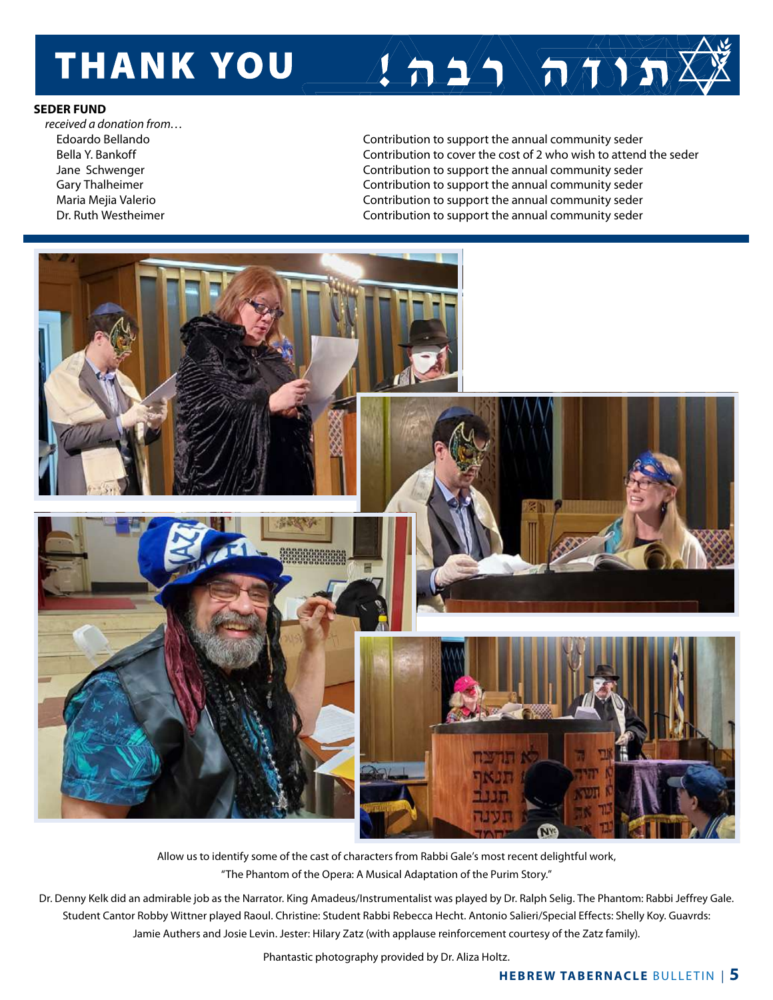## **THANK YOU**

### **SEDER FUND**

*received a donation from…*

 Edoardo Bellando Contribution to support the annual community seder Bella Y. Bankoff Contribution to cover the cost of 2 who wish to attend the seder Jane Schwenger Contribution to support the annual community seder Gary Thalheimer **Contribution** to support the annual community seder Maria Mejia Valerio Contribution to support the annual community seder Dr. Ruth Westheimer **Contribution to support the annual community seder** Contribution to support the annual community seder

 $1 + 2$   $\sqrt{\pi \sqrt{2 \sqrt{2}}}$ 



Allow us to identify some of the cast of characters from Rabbi Gale's most recent delightful work, "The Phantom of the Opera: A Musical Adaptation of the Purim Story."

Dr. Denny Kelk did an admirable job as the Narrator. King Amadeus/Instrumentalist was played by Dr. Ralph Selig. The Phantom: Rabbi Jeffrey Gale. Student Cantor Robby Wittner played Raoul. Christine: Student Rabbi Rebecca Hecht. Antonio Salieri/Special Effects: Shelly Koy. Guavrds: Jamie Authers and Josie Levin. Jester: Hilary Zatz (with applause reinforcement courtesy of the Zatz family).

Phantastic photography provided by Dr. Aliza Holtz.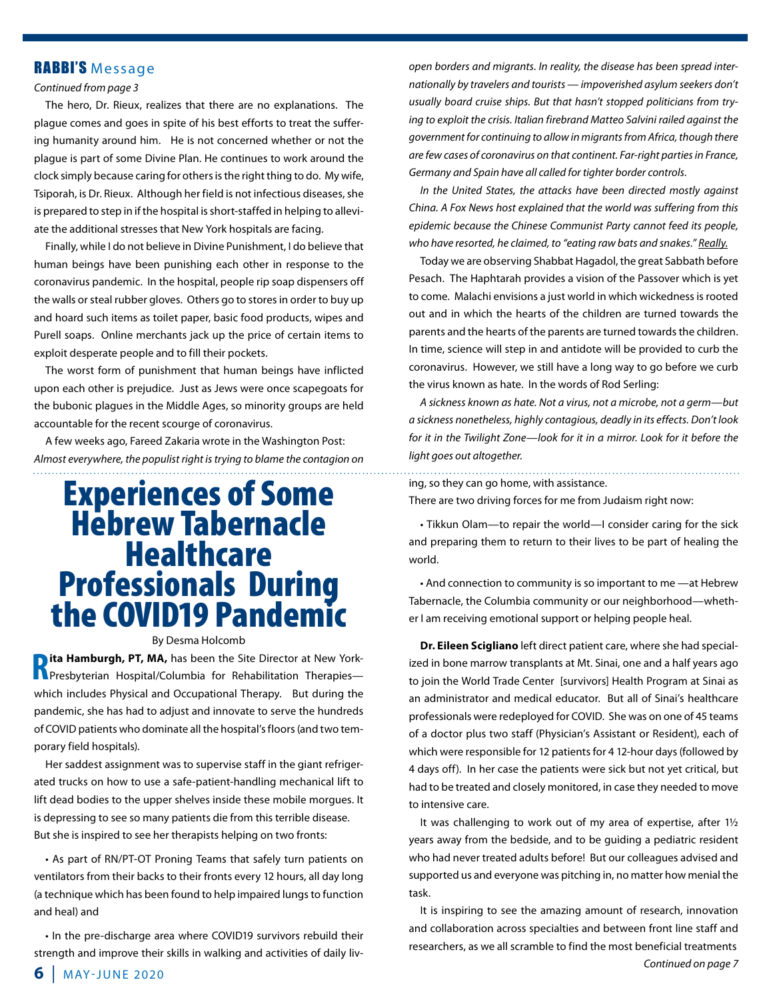### RABBI'S Message

#### *Continued from page 3*

The hero, Dr. Rieux, realizes that there are no explanations. The plague comes and goes in spite of his best efforts to treat the suffering humanity around him. He is not concerned whether or not the plague is part of some Divine Plan. He continues to work around the clock simply because caring for others is the right thing to do. My wife, Tsiporah, is Dr. Rieux. Although her field is not infectious diseases, she is prepared to step in if the hospital is short-staffed in helping to alleviate the additional stresses that New York hospitals are facing.

Finally, while I do not believe in Divine Punishment, I do believe that human beings have been punishing each other in response to the coronavirus pandemic. In the hospital, people rip soap dispensers off the walls or steal rubber gloves. Others go to stores in order to buy up and hoard such items as toilet paper, basic food products, wipes and Purell soaps. Online merchants jack up the price of certain items to exploit desperate people and to fill their pockets.

The worst form of punishment that human beings have inflicted upon each other is prejudice. Just as Jews were once scapegoats for the bubonic plagues in the Middle Ages, so minority groups are held accountable for the recent scourge of coronavirus.

 A few weeks ago, Fareed Zakaria wrote in the Washington Post: *Almost everywhere, the populist right is trying to blame the contagion on* 

## Experiences of Some Hebrew Tabernacle **Healthcare** Professionals During the COVID19 Pandemic

### By Desma Holcomb

**Rolland Hamburgh, PT, MA, has been the Site Director at New York-<br>Referency Hospital/Columbia for Rehabilitation Therapies-**Presbyterian Hospital/Columbia for Rehabilitation Therapies which includes Physical and Occupational Therapy. But during the pandemic, she has had to adjust and innovate to serve the hundreds of COVID patients who dominate all the hospital's floors (and two temporary field hospitals).

Her saddest assignment was to supervise staff in the giant refrigerated trucks on how to use a safe-patient-handling mechanical lift to lift dead bodies to the upper shelves inside these mobile morgues. It is depressing to see so many patients die from this terrible disease. But she is inspired to see her therapists helping on two fronts:

 • As part of RN/PT-OT Proning Teams that safely turn patients on ventilators from their backs to their fronts every 12 hours, all day long (a technique which has been found to help impaired lungs to function and heal) and

 • In the pre-discharge area where COVID19 survivors rebuild their strength and improve their skills in walking and activities of daily liv*open borders and migrants. In reality, the disease has been spread internationally by travelers and tourists — impoverished asylum seekers don't usually board cruise ships. But that hasn't stopped politicians from trying to exploit the crisis. Italian firebrand Matteo Salvini railed against the government for continuing to allow in migrants from Africa, though there are few cases of coronavirus on that continent. Far-right parties in France, Germany and Spain have all called for tighter border controls.*

*In the United States, the attacks have been directed mostly against China. A Fox News host explained that the world was suffering from this epidemic because the Chinese Communist Party cannot feed its people, who have resorted, he claimed, to "eating raw bats and snakes." Really.*

Today we are observing Shabbat Hagadol, the great Sabbath before Pesach. The Haphtarah provides a vision of the Passover which is yet to come. Malachi envisions a just world in which wickedness is rooted out and in which the hearts of the children are turned towards the parents and the hearts of the parents are turned towards the children. In time, science will step in and antidote will be provided to curb the coronavirus. However, we still have a long way to go before we curb the virus known as hate. In the words of Rod Serling:

*A sickness known as hate. Not a virus, not a microbe, not a germ—but a sickness nonetheless, highly contagious, deadly in its effects. Don't look for it in the Twilight Zone—look for it in a mirror. Look for it before the light goes out altogether.*

ing, so they can go home, with assistance.

There are two driving forces for me from Judaism right now:

 • Tikkun Olam—to repair the world—I consider caring for the sick and preparing them to return to their lives to be part of healing the world.

 • And connection to community is so important to me —at Hebrew Tabernacle, the Columbia community or our neighborhood—whether I am receiving emotional support or helping people heal.

**Dr. Eileen Scigliano** left direct patient care, where she had specialized in bone marrow transplants at Mt. Sinai, one and a half years ago to join the World Trade Center [survivors] Health Program at Sinai as an administrator and medical educator. But all of Sinai's healthcare professionals were redeployed for COVID. She was on one of 45 teams of a doctor plus two staff (Physician's Assistant or Resident), each of which were responsible for 12 patients for 4 12-hour days (followed by 4 days off). In her case the patients were sick but not yet critical, but had to be treated and closely monitored, in case they needed to move to intensive care.

 It was challenging to work out of my area of expertise, after 1½ years away from the bedside, and to be guiding a pediatric resident who had never treated adults before! But our colleagues advised and supported us and everyone was pitching in, no matter how menial the task.

 It is inspiring to see the amazing amount of research, innovation and collaboration across specialties and between front line staff and researchers, as we all scramble to find the most beneficial treatments *Continued on page 7*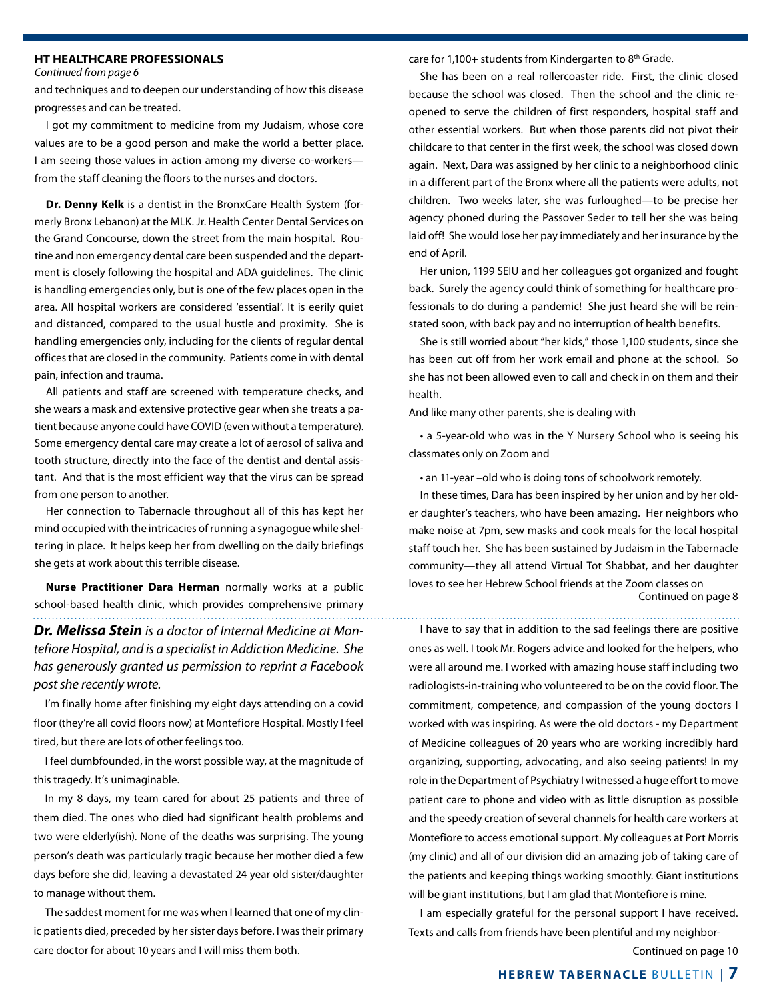### **HT HEALTHCARE PROFESSIONALS**

*Continued from page 6*

and techniques and to deepen our understanding of how this disease progresses and can be treated.

 I got my commitment to medicine from my Judaism, whose core values are to be a good person and make the world a better place. I am seeing those values in action among my diverse co-workers from the staff cleaning the floors to the nurses and doctors.

**Dr. Denny Kelk** is a dentist in the BronxCare Health System (formerly Bronx Lebanon) at the MLK. Jr. Health Center Dental Services on the Grand Concourse, down the street from the main hospital. Routine and non emergency dental care been suspended and the department is closely following the hospital and ADA guidelines. The clinic is handling emergencies only, but is one of the few places open in the area. All hospital workers are considered 'essential'. It is eerily quiet and distanced, compared to the usual hustle and proximity. She is handling emergencies only, including for the clients of regular dental offices that are closed in the community. Patients come in with dental pain, infection and trauma.

 All patients and staff are screened with temperature checks, and she wears a mask and extensive protective gear when she treats a patient because anyone could have COVID (even without a temperature). Some emergency dental care may create a lot of aerosol of saliva and tooth structure, directly into the face of the dentist and dental assistant. And that is the most efficient way that the virus can be spread from one person to another.

Her connection to Tabernacle throughout all of this has kept her mind occupied with the intricacies of running a synagogue while sheltering in place. It helps keep her from dwelling on the daily briefings she gets at work about this terrible disease.

 **Nurse Practitioner Dara Herman** normally works at a public school-based health clinic, which provides comprehensive primary *Dr. Melissa Stein is a doctor of Internal Medicine at Montefiore Hospital, and is a specialist in Addiction Medicine. She has generously granted us permission to reprint a Facebook post she recently wrote.*

 I'm finally home after finishing my eight days attending on a covid floor (they're all covid floors now) at Montefiore Hospital. Mostly I feel tired, but there are lots of other feelings too.

 I feel dumbfounded, in the worst possible way, at the magnitude of this tragedy. It's unimaginable.

 In my 8 days, my team cared for about 25 patients and three of them died. The ones who died had significant health problems and two were elderly(ish). None of the deaths was surprising. The young person's death was particularly tragic because her mother died a few days before she did, leaving a devastated 24 year old sister/daughter to manage without them.

The saddest moment for me was when I learned that one of my clinic patients died, preceded by her sister days before. I was their primary care doctor for about 10 years and I will miss them both.

care for  $1,100+$  students from Kindergarten to  $8<sup>th</sup>$  Grade.

She has been on a real rollercoaster ride. First, the clinic closed because the school was closed. Then the school and the clinic reopened to serve the children of first responders, hospital staff and other essential workers. But when those parents did not pivot their childcare to that center in the first week, the school was closed down again. Next, Dara was assigned by her clinic to a neighborhood clinic in a different part of the Bronx where all the patients were adults, not children. Two weeks later, she was furloughed—to be precise her agency phoned during the Passover Seder to tell her she was being laid off! She would lose her pay immediately and her insurance by the end of April.

Her union, 1199 SEIU and her colleagues got organized and fought back. Surely the agency could think of something for healthcare professionals to do during a pandemic! She just heard she will be reinstated soon, with back pay and no interruption of health benefits.

She is still worried about "her kids," those 1,100 students, since she has been cut off from her work email and phone at the school. So she has not been allowed even to call and check in on them and their health.

And like many other parents, she is dealing with

 • a 5-year-old who was in the Y Nursery School who is seeing his classmates only on Zoom and

 • an 11-year –old who is doing tons of schoolwork remotely.

 In these times, Dara has been inspired by her union and by her older daughter's teachers, who have been amazing. Her neighbors who make noise at 7pm, sew masks and cook meals for the local hospital staff touch her. She has been sustained by Judaism in the Tabernacle community—they all attend Virtual Tot Shabbat, and her daughter loves to see her Hebrew School friends at the Zoom classes on Continued on page 8

 I have to say that in addition to the sad feelings there are positive ones as well. I took Mr. Rogers advice and looked for the helpers, who were all around me. I worked with amazing house staff including two radiologists-in-training who volunteered to be on the covid floor. The commitment, competence, and compassion of the young doctors I worked with was inspiring. As were the old doctors - my Department of Medicine colleagues of 20 years who are working incredibly hard organizing, supporting, advocating, and also seeing patients! In my role in the Department of Psychiatry I witnessed a huge effort to move patient care to phone and video with as little disruption as possible and the speedy creation of several channels for health care workers at Montefiore to access emotional support. My colleagues at Port Morris (my clinic) and all of our division did an amazing job of taking care of the patients and keeping things working smoothly. Giant institutions will be giant institutions, but I am glad that Montefiore is mine.

 I am especially grateful for the personal support I have received. Texts and calls from friends have been plentiful and my neighbor-

Continued on page 10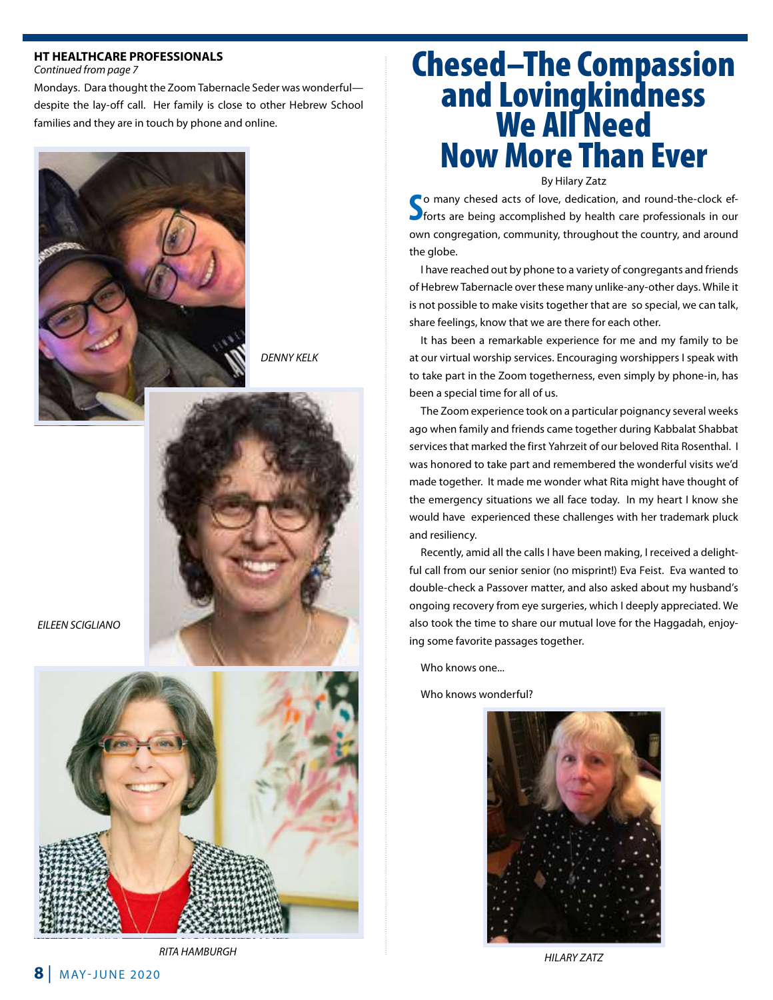### **HT HEALTHCARE PROFESSIONALS**

*Continued from page 7*

Mondays. Dara thought the Zoom Tabernacle Seder was wonderful despite the lay-off call. Her family is close to other Hebrew School families and they are in touch by phone and online.



*DENNY KELK*



*EILEEN SCIGLIANO*



## Chesed–The Compassion and Lovingkindness<br>We All Need Now More Than Ever

By Hilary Zatz

So many chesed acts of love, dedication, and round-the-clock efforts are being accomplished by health care professionals in our **Po many chesed acts of love, dedication, and round-the-clock ef**own congregation, community, throughout the country, and around the globe.

 I have reached out by phone to a variety of congregants and friends of Hebrew Tabernacle over these many unlike-any-other days. While it is not possible to make visits together that are so special, we can talk, share feelings, know that we are there for each other.

 It has been a remarkable experience for me and my family to be at our virtual worship services. Encouraging worshippers I speak with to take part in the Zoom togetherness, even simply by phone-in, has been a special time for all of us.

The Zoom experience took on a particular poignancy several weeks ago when family and friends came together during Kabbalat Shabbat services that marked the first Yahrzeit of our beloved Rita Rosenthal. I was honored to take part and remembered the wonderful visits we'd made together. It made me wonder what Rita might have thought of the emergency situations we all face today. In my heart I know she would have experienced these challenges with her trademark pluck and resiliency.

 Recently, amid all the calls I have been making, I received a delightful call from our senior senior (no misprint!) Eva Feist. Eva wanted to double-check a Passover matter, and also asked about my husband's ongoing recovery from eye surgeries, which I deeply appreciated. We also took the time to share our mutual love for the Haggadah, enjoying some favorite passages together.

Who knows one...

Who knows wonderful?



*HILARY ZATZ*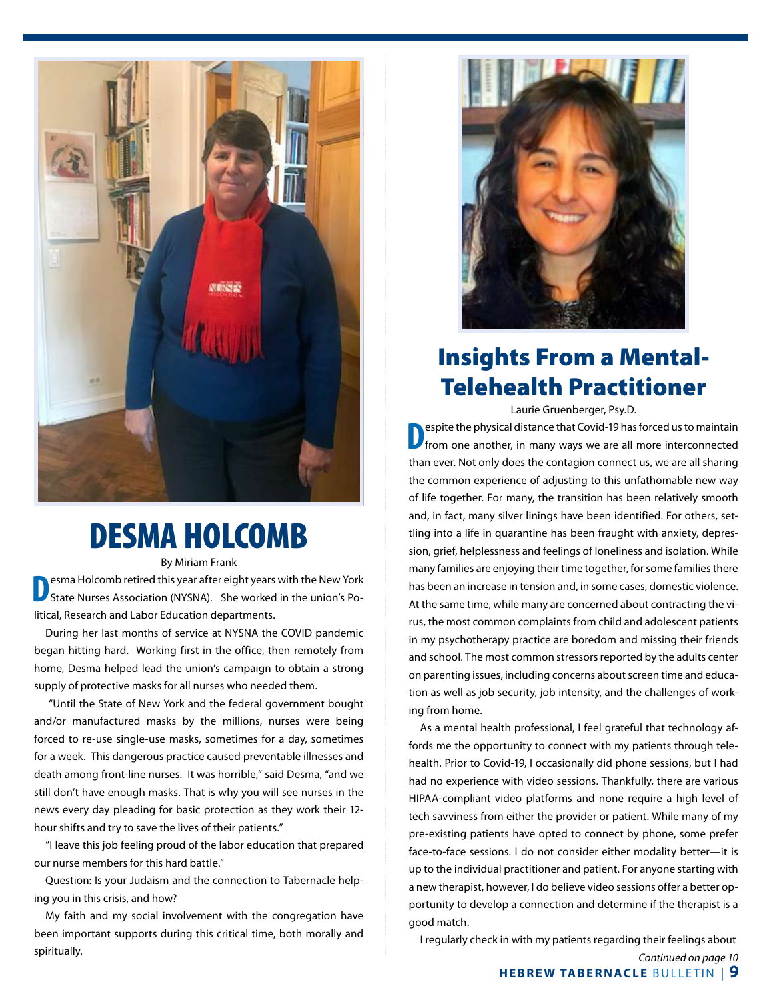

## DESMA HOLCOMB

By Miriam Frank

**D**esma Holcomb retired this year after eight years with the New York State Nurses Association (NYSNA). She worked in the union's Political, Research and Labor Education departments.

During her last months of service at NYSNA the COVID pandemic began hitting hard. Working first in the office, then remotely from home, Desma helped lead the union's campaign to obtain a strong supply of protective masks for all nurses who needed them.

 "Until the State of New York and the federal government bought and/or manufactured masks by the millions, nurses were being forced to re-use single-use masks, sometimes for a day, sometimes for a week. This dangerous practice caused preventable illnesses and death among front-line nurses. It was horrible," said Desma, "and we still don't have enough masks. That is why you will see nurses in the news every day pleading for basic protection as they work their 12 hour shifts and try to save the lives of their patients."

"I leave this job feeling proud of the labor education that prepared our nurse members for this hard battle."

Question: Is your Judaism and the connection to Tabernacle helping you in this crisis, and how?

My faith and my social involvement with the congregation have been important supports during this critical time, both morally and spiritually.



## Insights From a Mental-Telehealth Practitioner

Laurie Gruenberger, Psy.D.

**D**espite the physical distance that Covid-19 has forced us to maintain from one another, in many ways we are all more interconnected than ever. Not only does the contagion connect us, we are all sharing the common experience of adjusting to this unfathomable new way of life together. For many, the transition has been relatively smooth and, in fact, many silver linings have been identified. For others, settling into a life in quarantine has been fraught with anxiety, depression, grief, helplessness and feelings of loneliness and isolation. While many families are enjoying their time together, for some families there has been an increase in tension and, in some cases, domestic violence. At the same time, while many are concerned about contracting the virus, the most common complaints from child and adolescent patients in my psychotherapy practice are boredom and missing their friends and school. The most common stressors reported by the adults center on parenting issues, including concerns about screen time and education as well as job security, job intensity, and the challenges of working from home.

 As a mental health professional, I feel grateful that technology affords me the opportunity to connect with my patients through telehealth. Prior to Covid-19, I occasionally did phone sessions, but I had had no experience with video sessions. Thankfully, there are various HIPAA-compliant video platforms and none require a high level of tech savviness from either the provider or patient. While many of my pre-existing patients have opted to connect by phone, some prefer face-to-face sessions. I do not consider either modality better—it is up to the individual practitioner and patient. For anyone starting with a new therapist, however, I do believe video sessions offer a better opportunity to develop a connection and determine if the therapist is a good match.

I regularly check in with my patients regarding their feelings about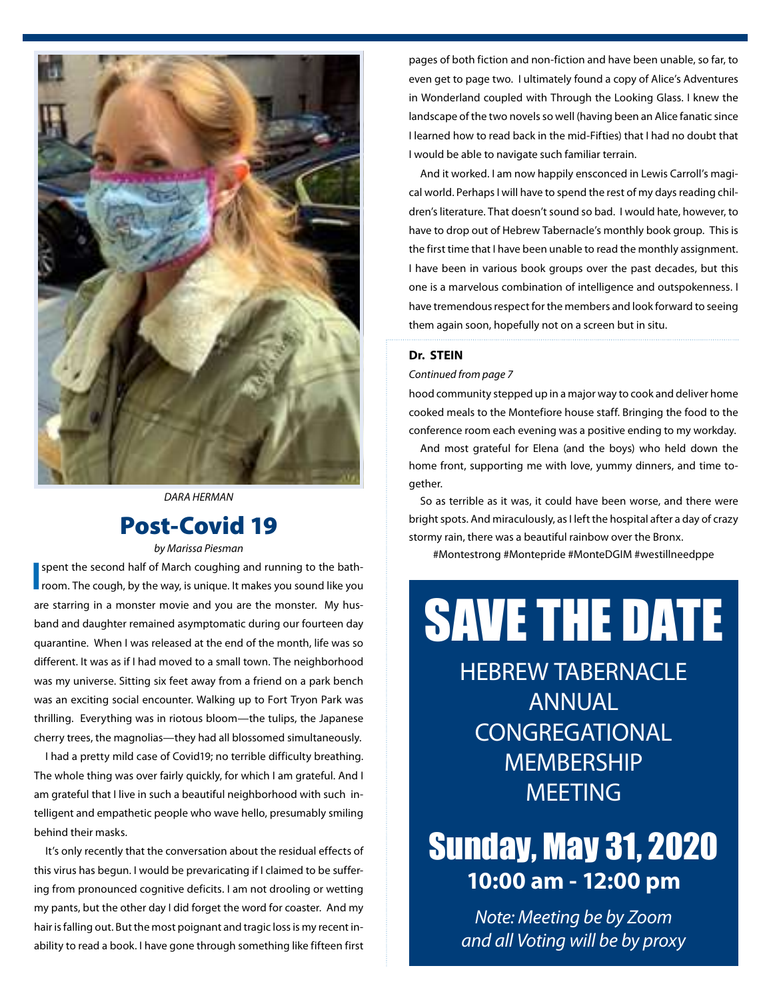

*DARA HERMAN*

### Post-Covid 19

*by Marissa Piesman*

**I** spent the second half of March coughing and running to the bath-<br>room. The cough, by the way, is unique. It makes you sound like you spent the second half of March coughing and running to the bathare starring in a monster movie and you are the monster. My husband and daughter remained asymptomatic during our fourteen day quarantine. When I was released at the end of the month, life was so different. It was as if I had moved to a small town. The neighborhood was my universe. Sitting six feet away from a friend on a park bench was an exciting social encounter. Walking up to Fort Tryon Park was thrilling. Everything was in riotous bloom—the tulips, the Japanese cherry trees, the magnolias—they had all blossomed simultaneously.

 I had a pretty mild case of Covid19; no terrible difficulty breathing. The whole thing was over fairly quickly, for which I am grateful. And I am grateful that I live in such a beautiful neighborhood with such intelligent and empathetic people who wave hello, presumably smiling behind their masks.

 It's only recently that the conversation about the residual effects of this virus has begun. I would be prevaricating if I claimed to be suffering from pronounced cognitive deficits. I am not drooling or wetting my pants, but the other day I did forget the word for coaster. And my hair is falling out. But the most poignant and tragic loss is my recent inability to read a book. I have gone through something like fifteen first

pages of both fiction and non-fiction and have been unable, so far, to even get to page two. I ultimately found a copy of Alice's Adventures in Wonderland coupled with Through the Looking Glass. I knew the landscape of the two novels so well (having been an Alice fanatic since I learned how to read back in the mid-Fifties) that I had no doubt that I would be able to navigate such familiar terrain.

 And it worked. I am now happily ensconced in Lewis Carroll's magical world. Perhaps I will have to spend the rest of my days reading children's literature. That doesn't sound so bad. I would hate, however, to have to drop out of Hebrew Tabernacle's monthly book group. This is the first time that I have been unable to read the monthly assignment. I have been in various book groups over the past decades, but this one is a marvelous combination of intelligence and outspokenness. I have tremendous respect for the members and look forward to seeing them again soon, hopefully not on a screen but in situ.

### **Dr. STEIN**

*Continued from page 7*

hood community stepped up in a major way to cook and deliver home cooked meals to the Montefiore house staff. Bringing the food to the conference room each evening was a positive ending to my workday.

 And most grateful for Elena (and the boys) who held down the home front, supporting me with love, yummy dinners, and time together.

So as terrible as it was, it could have been worse, and there were bright spots. And miraculously, as I left the hospital after a day of crazy stormy rain, there was a beautiful rainbow over the Bronx.

#Montestrong #Montepride #MonteDGIM #westillneedppe

# SAVE THE DATE

HEBREW TABERNACLE ANNUAL **CONGREGATIONAL MEMBERSHIP MEETING** 

## Sunday, May 31, 2020 **10:00 am - 12:00 pm**

*Note: Meeting be by Zoom and all Voting will be by proxy*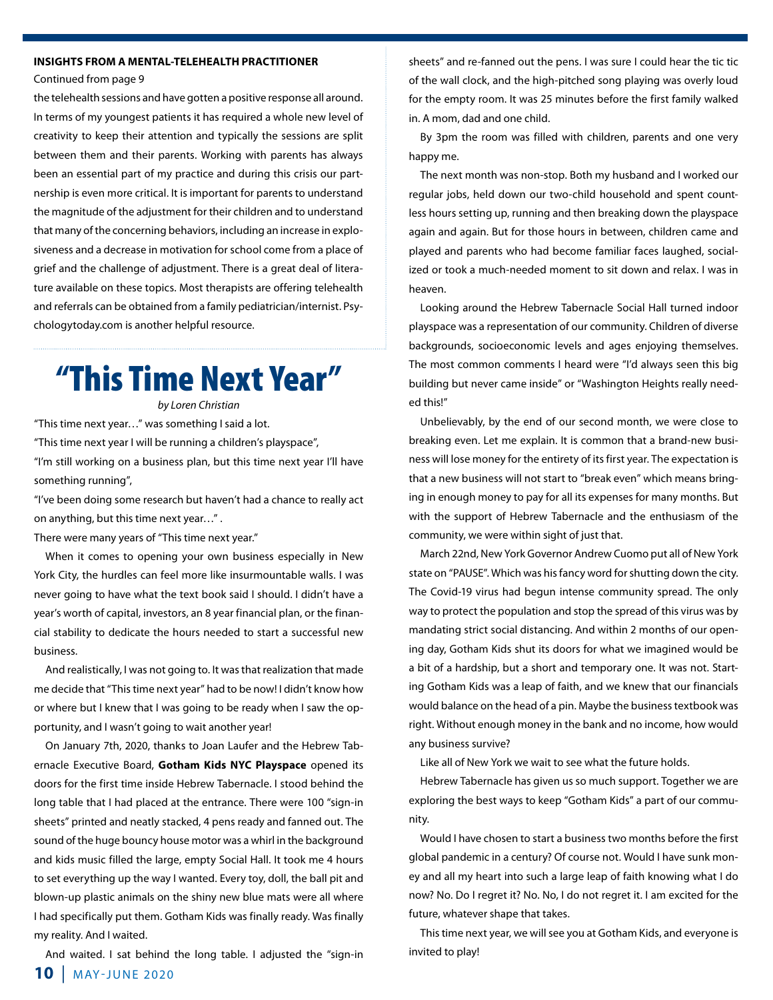### **INSIGHTS FROM A MENTAL-TELEHEALTH PRACTITIONER**

Continued from page 9

the telehealth sessions and have gotten a positive response all around. In terms of my youngest patients it has required a whole new level of creativity to keep their attention and typically the sessions are split between them and their parents. Working with parents has always been an essential part of my practice and during this crisis our partnership is even more critical. It is important for parents to understand the magnitude of the adjustment for their children and to understand that many of the concerning behaviors, including an increase in explosiveness and a decrease in motivation for school come from a place of grief and the challenge of adjustment. There is a great deal of literature available on these topics. Most therapists are offering telehealth and referrals can be obtained from a family pediatrician/internist. Psychologytoday.com is another helpful resource.

## "This Time Next Year"

*by Loren Christian*

"This time next year…" was something I said a lot.

"This time next year I will be running a children's playspace",

"I'm still working on a business plan, but this time next year I'll have something running",

"I've been doing some research but haven't had a chance to really act on anything, but this time next year…" .

There were many years of "This time next year."

When it comes to opening your own business especially in New York City, the hurdles can feel more like insurmountable walls. I was never going to have what the text book said I should. I didn't have a year's worth of capital, investors, an 8 year financial plan, or the financial stability to dedicate the hours needed to start a successful new business.

 And realistically, I was not going to. It was that realization that made me decide that "This time next year" had to be now! I didn't know how or where but I knew that I was going to be ready when I saw the opportunity, and I wasn't going to wait another year!

On January 7th, 2020, thanks to Joan Laufer and the Hebrew Tabernacle Executive Board, **Gotham Kids NYC Playspace** opened its doors for the first time inside Hebrew Tabernacle. I stood behind the long table that I had placed at the entrance. There were 100 "sign-in sheets" printed and neatly stacked, 4 pens ready and fanned out. The sound of the huge bouncy house motor was a whirl in the background and kids music filled the large, empty Social Hall. It took me 4 hours to set everything up the way I wanted. Every toy, doll, the ball pit and blown-up plastic animals on the shiny new blue mats were all where I had specifically put them. Gotham Kids was finally ready. Was finally my reality. And I waited.

And waited. I sat behind the long table. I adjusted the "sign-in

sheets" and re-fanned out the pens. I was sure I could hear the tic tic of the wall clock, and the high-pitched song playing was overly loud for the empty room. It was 25 minutes before the first family walked in. A mom, dad and one child.

By 3pm the room was filled with children, parents and one very happy me.

The next month was non-stop. Both my husband and I worked our regular jobs, held down our two-child household and spent countless hours setting up, running and then breaking down the playspace again and again. But for those hours in between, children came and played and parents who had become familiar faces laughed, socialized or took a much-needed moment to sit down and relax. I was in heaven.

Looking around the Hebrew Tabernacle Social Hall turned indoor playspace was a representation of our community. Children of diverse backgrounds, socioeconomic levels and ages enjoying themselves. The most common comments I heard were "I'd always seen this big building but never came inside" or "Washington Heights really needed this!"

 Unbelievably, by the end of our second month, we were close to breaking even. Let me explain. It is common that a brand-new business will lose money for the entirety of its first year. The expectation is that a new business will not start to "break even" which means bringing in enough money to pay for all its expenses for many months. But with the support of Hebrew Tabernacle and the enthusiasm of the community, we were within sight of just that.

March 22nd, New York Governor Andrew Cuomo put all of New York state on "PAUSE". Which was his fancy word for shutting down the city. The Covid-19 virus had begun intense community spread. The only way to protect the population and stop the spread of this virus was by mandating strict social distancing. And within 2 months of our opening day, Gotham Kids shut its doors for what we imagined would be a bit of a hardship, but a short and temporary one. It was not. Starting Gotham Kids was a leap of faith, and we knew that our financials would balance on the head of a pin. Maybe the business textbook was right. Without enough money in the bank and no income, how would any business survive?

Like all of New York we wait to see what the future holds.

Hebrew Tabernacle has given us so much support. Together we are exploring the best ways to keep "Gotham Kids" a part of our community.

Would I have chosen to start a business two months before the first global pandemic in a century? Of course not. Would I have sunk money and all my heart into such a large leap of faith knowing what I do now? No. Do I regret it? No. No, I do not regret it. I am excited for the future, whatever shape that takes.

This time next year, we will see you at Gotham Kids, and everyone is invited to play!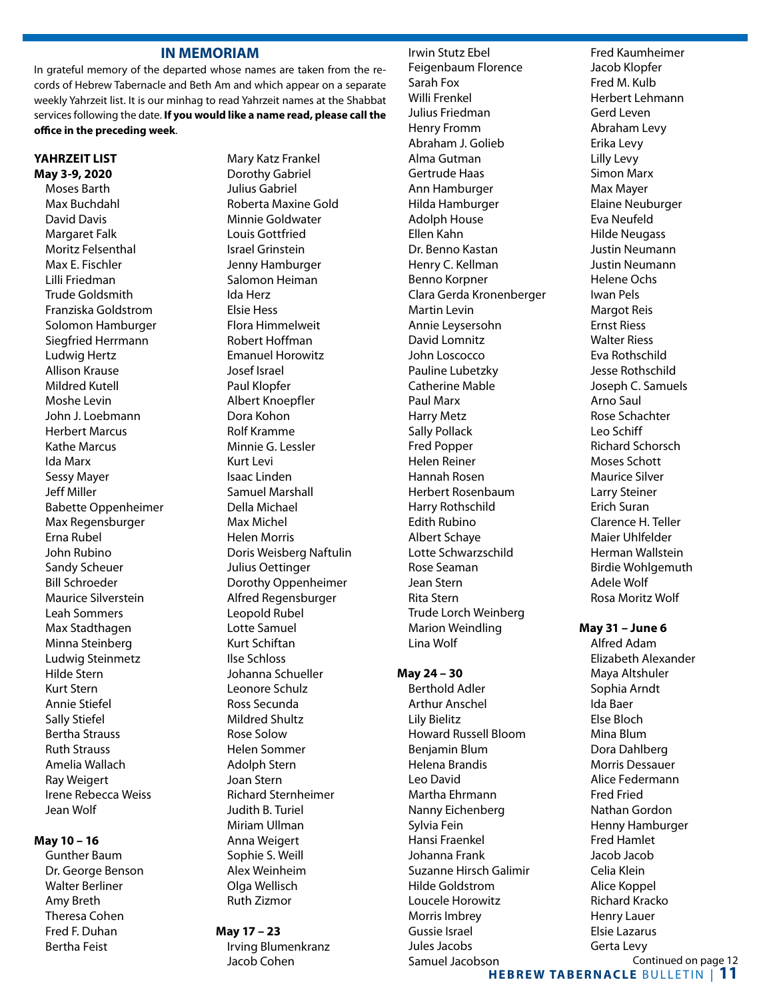### **IN MEMORIAM**

In grateful memory of the departed whose names are taken from the records of Hebrew Tabernacle and Beth Am and which appear on a separate weekly Yahrzeit list. It is our minhag to read Yahrzeit names at the Shabbat services following the date. **If you would like a name read, please call the office in the preceding week**.

### **YAHRZEIT LIST May 3-9, 2020**

Moses Barth Max Buchdahl David Davis Margaret Falk Moritz Felsenthal Max E. Fischler Lilli Friedman Trude Goldsmith Franziska Goldstrom Solomon Hamburger Siegfried Herrmann Ludwig Hertz Allison Krause Mildred Kutell Moshe Levin John J. Loebmann Herbert Marcus Kathe Marcus Ida Marx Sessy Mayer Jeff Miller Babette Oppenheimer Max Regensburger Erna Rubel John Rubino Sandy Scheuer Bill Schroeder Maurice Silverstein Leah Sommers Max Stadthagen Minna Steinberg Ludwig Steinmetz Hilde Stern Kurt Stern Annie Stiefel Sally Stiefel Bertha Strauss Ruth Strauss Amelia Wallach Ray Weigert Irene Rebecca Weiss Jean Wolf

### **May 10 – 16**

Gunther Baum Dr. George Benson Walter Berliner Amy Breth Theresa Cohen Fred F. Duhan Bertha Feist

Mary Katz Frankel Dorothy Gabriel Julius Gabriel Roberta Maxine Gold Minnie Goldwater Louis Gottfried Israel Grinstein Jenny Hamburger Salomon Heiman Ida Herz Elsie Hess Flora Himmelweit Robert Hoffman Emanuel Horowitz Josef Israel Paul Klopfer Albert Knoepfler Dora Kohon Rolf Kramme Minnie G. Lessler Kurt Levi Isaac Linden Samuel Marshall Della Michael Max Michel Helen Morris Doris Weisberg Naftulin Julius Oettinger Dorothy Oppenheimer Alfred Regensburger Leopold Rubel Lotte Samuel Kurt Schiftan Ilse Schloss Johanna Schueller Leonore Schulz Ross Secunda Mildred Shultz Rose Solow Helen Sommer Adolph Stern Joan Stern Richard Sternheimer Judith B. Turiel Miriam Ullman Anna Weigert Sophie S. Weill Alex Weinheim Olga Wellisch Ruth Zizmor

### **May 17 – 23**

 Irving Blumenkranz Jacob Cohen

 Irwin Stutz Ebel Feigenbaum Florence Sarah Fox Willi Frenkel Julius Friedman Henry Fromm Abraham J. Golieb Alma Gutman Gertrude Haas Ann Hamburger Hilda Hamburger Adolph House Ellen Kahn Dr. Benno Kastan Henry C. Kellman Benno Korpner Clara Gerda Kronenberger Martin Levin Annie Leysersohn David Lomnitz John Loscocco Pauline Lubetzky Catherine Mable Paul Marx Harry Metz Sally Pollack Fred Popper Helen Reiner Hannah Rosen Herbert Rosenbaum Harry Rothschild Edith Rubino Albert Schaye Lotte Schwarzschild Rose Seaman Jean Stern Rita Stern Trude Lorch Weinberg Marion Weindling Lina Wolf

### **May 24 – 30**

Berthold Adler Arthur Anschel Lily Bielitz Howard Russell Bloom Benjamin Blum Helena Brandis Leo David Martha Ehrmann Nanny Eichenberg Sylvia Fein Hansi Fraenkel Johanna Frank Suzanne Hirsch Galimir Hilde Goldstrom Loucele Horowitz Morris Imbrey Gussie Israel Jules Jacobs Samuel Jacobson

Fred Kaumheimer Jacob Klopfer Fred M. Kulb Herbert Lehmann Gerd Leven Abraham Levy Erika Levy Lilly Levy Simon Marx Max Mayer Elaine Neuburger Eva Neufeld Hilde Neugass Justin Neumann Justin Neumann Helene Ochs Iwan Pels Margot Reis Ernst Riess Walter Riess Eva Rothschild Jesse Rothschild Joseph C. Samuels Arno Saul Rose Schachter Leo Schiff Richard Schorsch Moses Schott Maurice Silver Larry Steiner Erich Suran Clarence H. Teller Maier Uhlfelder Herman Wallstein Birdie Wohlgemuth Adele Wolf Rosa Moritz Wolf

### **May 31 – June 6**

 Alfred Adam Elizabeth Alexander Maya Altshuler Sophia Arndt Ida Baer Else Bloch Mina Blum Dora Dahlberg Morris Dessauer Alice Federmann Fred Fried Nathan Gordon Henny Hamburger Fred Hamlet Jacob Jacob Celia Klein Alice Koppel Richard Kracko Henry Lauer Elsie Lazarus Gerta Levy Continued on page 12

**HEBREW TABERNACLE BULLETIN | 11**